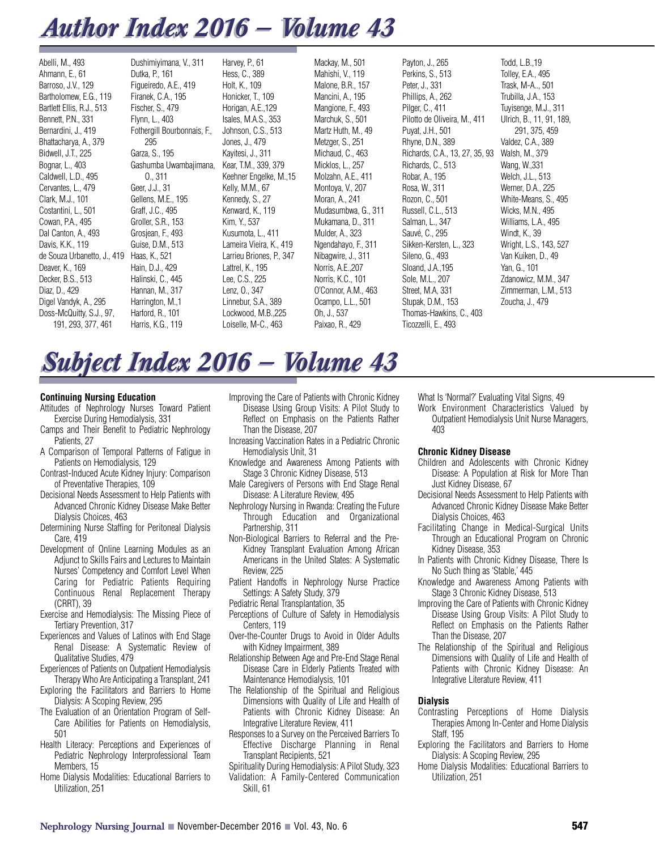## *Author Index 2016 — Volume 43 Author Index 2016 — Volume 43*

| Abelli, M., 493<br>Ahmann, E., 61<br>Barroso, J.V., 129<br>Bartholomew, E.G., 119<br>Bartlett Ellis, R.J., 513<br>Bennett, P.N., 331<br>Bernardini, J., 419<br>Bhattacharya, A., 379<br>Bidwell, J.T., 225<br>Bognar, L., 403<br>Caldwell, L.D., 495<br>Cervantes, L., 479<br>Clark, M.J., 101<br>Costantini, L., 501<br>Cowan, P.A., 495<br>Dal Canton, A., 493<br>Davis, K.K., 119<br>de Souza Urbanetto, J., 419<br>Deaver, K., 169<br>Decker, B.S., 513<br>Diaz, D., 429<br>Digel Vandyk, A., 295 | Dushimiyimana, V., 311<br>Dutka, P., 161<br>Figueiredo, A.E., 419<br>Firanek, C.A., 195<br>Fischer, S., 479<br>Flynn, L., 403<br>Fothergill Bourbonnais, F.<br>295<br>Garza, S., 195<br>Gashumba Uwambajimana,<br>0.311<br>Geer, J.J., 31<br>Gellens, M.E., 195<br>Graff, J.C., 495<br>Groller, S.R., 153<br>Grosjean, F., 493<br>Guise, D.M., 513<br>Haas, K., 521<br>Hain, D.J., 429<br>Halinski, C., 445<br>Hannan, M., 317<br>Harrington, M., 1<br>Harford, R., 101 | Harvey, P., 61<br>Hess, C., 389<br>Holt, K., 109<br>Honicker, T., 109<br>Horigan, A.E., 129<br>Isales, M.A.S., 353<br>Johnson, C.S., 513<br>Jones, J., 479<br>Kavitesi, J., 311<br>Kear, T.M., 339, 379<br>Keehner Engelke, M., 15<br>Kelly, M.M., 67<br>Kennedy, S., 27<br>Kenward, K., 119<br>Kim, Y., 537<br>Kusumota, L., 411<br>Lameira Vieira, K., 419<br>Larrieu Briones, P., 347<br>Lattrel, K., 195<br>Lee, C.S., 225<br>Lenz, O., 347<br>Linnebur, S.A., 389<br>Lockwood, M.B., 225 | Mackay, M., 501<br>Mahishi, V., 119<br>Malone, B.R., 157<br>Mancini, A., 195<br>Mangione, F., 493<br>Marchuk, S., 501<br>Martz Huth, M., 49<br>Metzger, S., 251<br>Michaud, C., 463<br>Micklos, L., 257<br>Molzahn, A.E., 411<br>Montoya, V., 207<br>Moran, A., 241<br>Mudasumbwa, G., 311<br>Mukamana, D., 311<br>Mulder, A., 323<br>Ngendahayo, F., 311<br>Nibagwire, J., 311<br>Norris, A.E., 207<br>Norris, K.C., 101<br>O'Connor, A.M., 463<br>Ocampo, L.L., 501 | Payton, J., 265<br>Perkins, S., 513<br>Peter, J., 331<br>Phillips, A., 262<br>Pilger, C., 411<br>Pilotto de Oliveira, M., 411<br>Puyat, J.H., 501<br>Rhyne, D.N., 389<br>Richards, C.A., 13, 27, 35, 93<br>Richards, C., 513<br>Robar, A., 195<br>Rosa, W., 311<br>Rozon, C., 501<br>Russell, C.L., 513<br>Salman, L., 347<br>Sauvé, C., 295<br>Sikken-Kersten, L., 323<br>Sileno, G., 493<br>Sloand, J.A., 195<br>Sole, M.L., 207<br>Street, M.A. 331<br>Stupak, D.M., 153<br>Thomas-Hawkins, C., 403 | Todd, L.B., 19<br>Tolley, E.A., 495<br>Trask, M-A, 501<br>Trubilla, J.A., 153<br>Tuyisenge, M.J., 311<br>Ulrich, B., 11, 91, 189,<br>291, 375, 459<br>Valdez, C.A., 389<br>Walsh, M., 379<br>Wang, W., 331<br>Welch, J.L., 513<br>Werner, D.A., 225<br>White-Means, S., 495<br>Wicks, M.N., 495<br>Williams, L.A., 495<br>Windt, K., 39<br>Wright, L.S., 143, 527<br>Van Kuiken, D., 49<br>Yan, G., 101<br>Zdanowicz, M.M., 347<br>Zimmerman, L.M., 513<br>Zoucha, J., 479 |
|-------------------------------------------------------------------------------------------------------------------------------------------------------------------------------------------------------------------------------------------------------------------------------------------------------------------------------------------------------------------------------------------------------------------------------------------------------------------------------------------------------|-------------------------------------------------------------------------------------------------------------------------------------------------------------------------------------------------------------------------------------------------------------------------------------------------------------------------------------------------------------------------------------------------------------------------------------------------------------------------|-----------------------------------------------------------------------------------------------------------------------------------------------------------------------------------------------------------------------------------------------------------------------------------------------------------------------------------------------------------------------------------------------------------------------------------------------------------------------------------------------|-----------------------------------------------------------------------------------------------------------------------------------------------------------------------------------------------------------------------------------------------------------------------------------------------------------------------------------------------------------------------------------------------------------------------------------------------------------------------|--------------------------------------------------------------------------------------------------------------------------------------------------------------------------------------------------------------------------------------------------------------------------------------------------------------------------------------------------------------------------------------------------------------------------------------------------------------------------------------------------------|----------------------------------------------------------------------------------------------------------------------------------------------------------------------------------------------------------------------------------------------------------------------------------------------------------------------------------------------------------------------------------------------------------------------------------------------------------------------------|
| Doss-McQuitty, S.J., 97,<br>191, 293, 377, 461                                                                                                                                                                                                                                                                                                                                                                                                                                                        | Harris, K.G., 119                                                                                                                                                                                                                                                                                                                                                                                                                                                       | Loiselle, M-C., 463                                                                                                                                                                                                                                                                                                                                                                                                                                                                           | Oh, J., 537<br>Paixao, R., 429                                                                                                                                                                                                                                                                                                                                                                                                                                        | Ticozzelli, E., 493                                                                                                                                                                                                                                                                                                                                                                                                                                                                                    |                                                                                                                                                                                                                                                                                                                                                                                                                                                                            |

# *Subject Index 2016 — Volume 43 Subject Index 2016 — Volume 43*

## **Continuing Nursing Education**

- Attitudes of Nephrology Nurses Toward Patient Exercise During Hemodialysis, 331
- Camps and Their Benefit to Pediatric Nephrology Patients, 27
- A Comparison of Temporal Patterns of Fatigue in Patients on Hemodialysis, 129
- Contrast-Induced Acute Kidney Injury: Comparison of Preventative Therapies, 109
- Decisional Needs Assessment to Help Patients with Advanced Chronic Kidney Disease Make Better Dialysis Choices, 463
- Determining Nurse Staffing for Peritoneal Dialysis Care, 419
- Development of Online Learning Modules as an Adjunct to Skills Fairs and Lectures to Maintain Nurses' Competency and Comfort Level When Caring for Pediatric Patients Requiring Continuous Renal Replacement Therapy (CRRT), 39
- Exercise and Hemodialysis: The Missing Piece of Tertiary Prevention, 317
- Experiences and Values of Latinos with End Stage Renal Disease: A Systematic Review of Qualitative Studies, 479
- Experiences of Patients on Outpatient Hemodialysis Therapy Who Are Anticipating a Transplant, 241
- Exploring the Facilitators and Barriers to Home Dialysis: A Scoping Review, 295
- The Evaluation of an Orientation Program of Self-Care Abilities for Patients on Hemodialysis, 501
- Health Literacy: Perceptions and Experiences of Pediatric Nephrology Interprofessional Team Members, 15
- Home Dialysis Modalities: Educational Barriers to Utilization, 251
- Improving the Care of Patients with Chronic Kidney Disease Using Group Visits: A Pilot Study to Reflect on Emphasis on the Patients Rather Than the Disease, 207
- Increasing Vaccination Rates in a Pediatric Chronic Hemodialysis Unit, 31
- Knowledge and Awareness Among Patients with Stage 3 Chronic Kidney Disease, 513
- Male Caregivers of Persons with End Stage Renal Disease: A Literature Review, 495
- Nephrology Nursing in Rwanda: Creating the Future Through Education and Organizational Partnership, 311
- Non-Biological Barriers to Referral and the Pre-Kidney Transplant Evaluation Among African Americans in the United States: A Systematic Review, 225
- Patient Handoffs in Nephrology Nurse Practice Settings: A Safety Study, 379
- Pediatric Renal Transplantation, 35
- Perceptions of Culture of Safety in Hemodialysis Centers, 119
- Over-the-Counter Drugs to Avoid in Older Adults with Kidney Impairment, 389
- Relationship Between Age and Pre-End Stage Renal Disease Care in Elderly Patients Treated with Maintenance Hemodialysis, 101
- The Relationship of the Spiritual and Religious Dimensions with Quality of Life and Health of Patients with Chronic Kidney Disease: An Integrative Literature Review, 411
- Responses to a Survey on the Perceived Barriers To Effective Discharge Planning in Renal Transplant Recipients, 521

Spirituality During Hemodialysis: A Pilot Study, 323 Validation: A Family-Centered Communication Skill, 61

What Is 'Normal?' Evaluating Vital Signs, 49

Work Environment Characteristics Valued by Outpatient Hemodialysis Unit Nurse Managers, 403

#### **Chronic Kidney Disease**

- Children and Adolescents with Chronic Kidney Disease: A Population at Risk for More Than Just Kidney Disease, 67
- Decisional Needs Assessment to Help Patients with Advanced Chronic Kidney Disease Make Better Dialysis Choices, 463
- Facilitating Change in Medical-Surgical Units Through an Educational Program on Chronic Kidney Disease, 353
- In Patients with Chronic Kidney Disease, There Is No Such thing as 'Stable,' 445
- Knowledge and Awareness Among Patients with Stage 3 Chronic Kidney Disease, 513
- Improving the Care of Patients with Chronic Kidney Disease Using Group Visits: A Pilot Study to Reflect on Emphasis on the Patients Rather Than the Disease, 207
- The Relationship of the Spiritual and Religious Dimensions with Quality of Life and Health of Patients with Chronic Kidney Disease: An Integrative Literature Review, 411

## **Dialysis**

- Contrasting Perceptions of Home Dialysis Therapies Among In-Center and Home Dialysis Staff, 195
- Exploring the Facilitators and Barriers to Home Dialysis: A Scoping Review, 295
- Home Dialysis Modalities: Educational Barriers to Utilization, 251